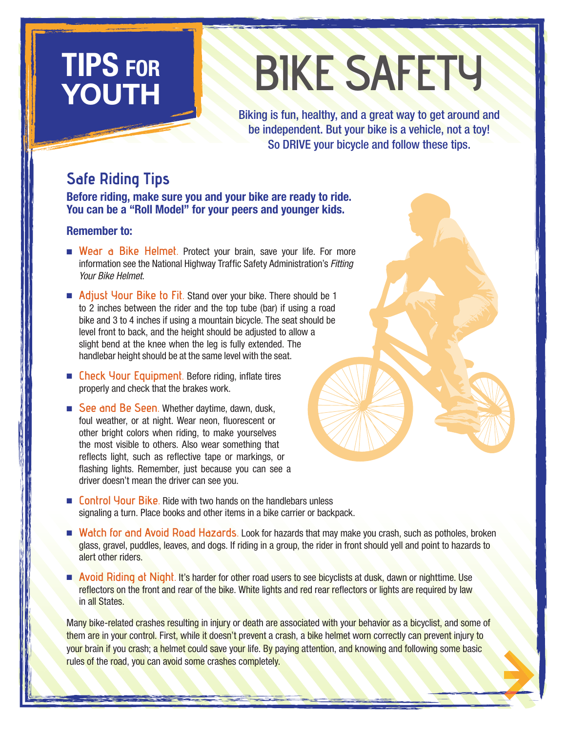# YOUTH

# TIPS FOR BIKE SAFETY

Biking is fun, healthy, and a great way to get around and be independent. But your bike is a vehicle, not a toy! So DRIVE your bicycle and follow these tips.

# Safe Riding Tips

Before riding, make sure you and your bike are ready to ride. You can be a "Roll Model" for your peers and younger kids.

#### Remember to:

- Wear a Bike Helmet. Protect your brain, save your life. For more information see the National Highway Traffic Safety Administration's *Fitting Your Bike Helmet*.
- Adjust Your Bike to Fit. Stand over your bike. There should be 1 to 2 inches between the rider and the top tube (bar) if using a road bike and 3 to 4 inches if using a mountain bicycle. The seat should be level front to back, and the height should be adjusted to allow a slight bend at the knee when the leg is fully extended. The handlebar height should be at the same level with the seat.
- Check Your Equipment. Before riding, inflate tires properly and check that the brakes work.
- See and Be Seen. Whether daytime, dawn, dusk, foul weather, or at night. Wear neon, fluorescent or other bright colors when riding, to make yourselves the most visible to others. Also wear something that reflects light, such as reflective tape or markings, or flashing lights. Remember, just because you can see a driver doesn't mean the driver can see you.
- Control Your Bike. Ride with two hands on the handlebars unless signaling a turn. Place books and other items in a bike carrier or backpack.
- Watch for and Avoid Road Hazards. Look for hazards that may make you crash, such as potholes, broken glass, gravel, puddles, leaves, and dogs. If riding in a group, the rider in front should yell and point to hazards to alert other riders.
- Avoid Riding at Night. It's harder for other road users to see bicyclists at dusk, dawn or nighttime. Use reflectors on the front and rear of the bike. White lights and red rear reflectors or lights are required by law in all States.

Many bike-related crashes resulting in injury or death are associated with your behavior as a bicyclist, and some of them are in your control. First, while it doesn't prevent a crash, a bike helmet worn correctly can prevent injury to your brain if you crash; a helmet could save your life. By paying attention, and knowing and following some basic rules of the road, you can avoid some crashes completely.